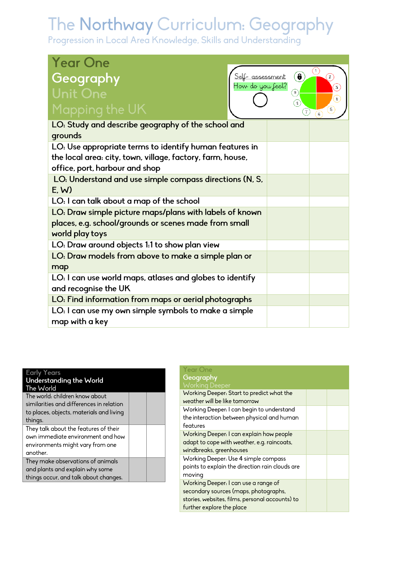# The Northway Curriculum: Geography<br>Progression in Local Area Knowledge, Skills and Understanding

| <b>Year One</b>                                            |                   |                                |
|------------------------------------------------------------|-------------------|--------------------------------|
| Geography<br>Self-assessment<br>How do you feel?           | $\circled{6}$     | C<br>$\left( 2\right)$         |
| <b>Unit One</b>                                            | ۵                 | $\left[3\right]$<br>$\ddot{+}$ |
| Mapping the UK                                             | $\mathbf{s}$<br>の | $\sqrt{5}$                     |
| LO: Study and describe geography of the school and         |                   |                                |
| grounds                                                    |                   |                                |
| LO: Use appropriate terms to identify human features in    |                   |                                |
| the local area: city, town, village, factory, farm, house, |                   |                                |
| office, port, harbour and shop                             |                   |                                |
| LO: Understand and use simple compass directions (N, S,    |                   |                                |
| E.W                                                        |                   |                                |
| LO: I can talk about a map of the school                   |                   |                                |
| LO: Draw simple picture maps/plans with labels of known    |                   |                                |
| places, e.g. school/grounds or scenes made from small      |                   |                                |
| world play toys                                            |                   |                                |
| LO: Draw around objects 1:1 to show plan view              |                   |                                |
| LO: Draw models from above to make a simple plan or        |                   |                                |
| map                                                        |                   |                                |
| LO: I can use world maps, atlases and globes to identify   |                   |                                |
| and recognise the UK                                       |                   |                                |
| LO: Find information from maps or aerial photographs       |                   |                                |
| LO: I can use my own simple symbols to make a simple       |                   |                                |
| map with a key                                             |                   |                                |

| cariy Tears                                                                                                                       |  |
|-----------------------------------------------------------------------------------------------------------------------------------|--|
| Understanding the World<br>The World                                                                                              |  |
| The world: children know about<br>similarities and differences in relation<br>to places, objects, materials and living<br>things. |  |
| They talk about the features of their<br>own immediate environment and how<br>environments might vary from one<br>another.        |  |
| They make observations of animals<br>and plants and explain why some<br>things occur, and talk about changes.                     |  |
|                                                                                                                                   |  |

| <b>Year One</b><br>Geography<br><b>Working Deeper</b>                                                                                                         |  |
|---------------------------------------------------------------------------------------------------------------------------------------------------------------|--|
| Working Deeper: Start to predict what the<br>weather will be like tomorrow                                                                                    |  |
| Working Deeper: I can begin to understand<br>the interaction between physical and human<br>features                                                           |  |
| Working Deeper: I can explain how people<br>adapt to cope with weather, e.g. raincoats,<br>windbreaks, greenhouses                                            |  |
| Working Deeper: Use 4 simple compass<br>points to explain the direction rain clouds are<br>moving                                                             |  |
| Working Deeper: I can use a range of<br>secondary sources (maps, photographs,<br>stories, websites, films, personal accounts) to<br>further explore the place |  |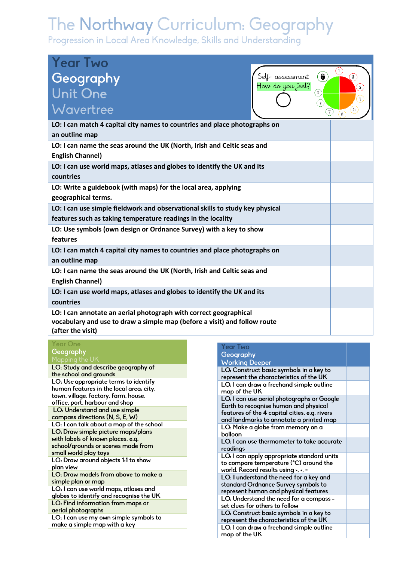# The Northway Curriculum: Geography

Progression in Local Area Knowledge, Skills and Understanding

| <b>Year Two</b>                                                                                                                                                     |                                                  |                    |
|---------------------------------------------------------------------------------------------------------------------------------------------------------------------|--------------------------------------------------|--------------------|
| Geography<br>Self- assessment<br>How do you feel?                                                                                                                   | $\left( \bullet \right)$                         | $\widehat{C}$<br>2 |
| Unit One                                                                                                                                                            | ⊛                                                | $\mathbf{3}$<br>4  |
| Wavertree                                                                                                                                                           | $\overline{\mathbf{s}}$<br>$\left( \tau \right)$ | 5                  |
| LO: I can match 4 capital city names to countries and place photographs on<br>an outline map                                                                        |                                                  |                    |
| LO: I can name the seas around the UK (North, Irish and Celtic seas and<br><b>English Channel)</b>                                                                  |                                                  |                    |
| LO: I can use world maps, atlases and globes to identify the UK and its<br>countries                                                                                |                                                  |                    |
| LO: Write a guidebook (with maps) for the local area, applying<br>geographical terms.                                                                               |                                                  |                    |
| LO: I can use simple fieldwork and observational skills to study key physical<br>features such as taking temperature readings in the locality                       |                                                  |                    |
| LO: Use symbols (own design or Ordnance Survey) with a key to show<br>features                                                                                      |                                                  |                    |
| LO: I can match 4 capital city names to countries and place photographs on<br>an outline map                                                                        |                                                  |                    |
| LO: I can name the seas around the UK (North, Irish and Celtic seas and<br><b>English Channel)</b>                                                                  |                                                  |                    |
| LO: I can use world maps, atlases and globes to identify the UK and its<br>countries                                                                                |                                                  |                    |
| LO: I can annotate an aerial photograph with correct geographical<br>vocabulary and use to draw a simple map (before a visit) and follow route<br>(after the visit) |                                                  |                    |

## Year One Geography

| Mapping the UN                                                |  |
|---------------------------------------------------------------|--|
| LO: Study and describe geography of<br>the school and grounds |  |
| LO: Use appropriate terms to identify                         |  |
| human features in the local area: city,                       |  |
| town, village, factory, farm, house,                          |  |
| office, port, harbour and shop                                |  |
| LO: Understand and use simple                                 |  |
| compass directions (N, S, E, W)                               |  |
| LO: I can talk about a map of the school                      |  |
| LO: Draw simple picture maps/plans                            |  |
| with labels of known places, e.g.                             |  |
| school/grounds or scenes made from                            |  |
| small world play toys                                         |  |
| LO: Draw around objects 1:1 to show                           |  |
| plan view                                                     |  |
| LO: Draw models from above to make a                          |  |
| simple plan or map                                            |  |
| LO: I can use world maps, atlases and                         |  |
| globes to identify and recognise the UK                       |  |
| LO: Find information from maps or                             |  |
| aerial photographs                                            |  |
| LO: I can use my own simple symbols to                        |  |
| make a simple map with a key                                  |  |
|                                                               |  |

#### **Year Two** Geography **Working Deeper** LO: Construct basic symbols in a key to represent the characteristics of the UK LO: I can draw a freehand simple outline map of the UK LO: I can use aerial photographs or Google Earth to recognise human and physical features of the 4 capital cities, e.g. rivers and landmarks to annotate a printed map LO: Make a globe from memory on a balloon LO: I can use thermometer to take accurate readings LO: I can apply appropriate standard units to compare temperature (°C) around the world. Record results using >, <, = LO: I understand the need for a key and standard Ordnance Survey symbols to represent human and physical features LO: Understand the need for a compass set clues for others to follow LO: Construct basic symbols in a key to represent the characteristics of the UK LO: I can draw a freehand simple outline map of the UK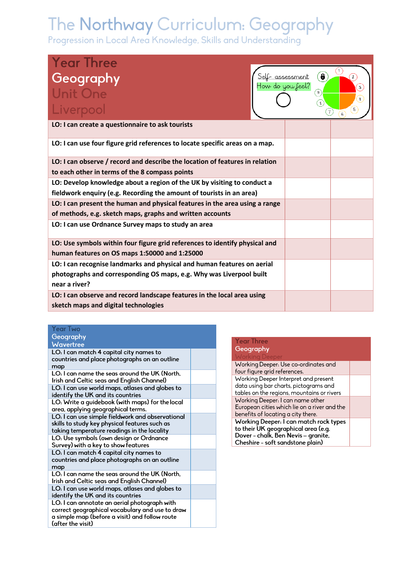# The Northway Curriculum: Geography

Progression in Local Area Knowledge, Skills and Understanding

| <b>Year Three</b>                                                                    |                          | (1         |
|--------------------------------------------------------------------------------------|--------------------------|------------|
| Geography<br><u>Self-assessment</u>                                                  | $\left( \bullet \right)$ | $\hat{2}$  |
| How do you feel?<br>Unit One                                                         | $\left(9\right)$         | 3<br>4     |
| Liverpool                                                                            | $\mathbf{s}$<br>$(\tau)$ | $\sqrt{5}$ |
| LO: I can create a questionnaire to ask tourists                                     |                          |            |
| LO: I can use four figure grid references to locate specific areas on a map.         |                          |            |
| LO: I can observe / record and describe the location of features in relation         |                          |            |
| to each other in terms of the 8 compass points                                       |                          |            |
| LO: Develop knowledge about a region of the UK by visiting to conduct a              |                          |            |
| fieldwork enquiry (e.g. Recording the amount of tourists in an area)                 |                          |            |
| LO: I can present the human and physical features in the area using a range          |                          |            |
| of methods, e.g. sketch maps, graphs and written accounts                            |                          |            |
| LO: I can use Ordnance Survey maps to study an area                                  |                          |            |
| LO: Use symbols within four figure grid references to identify physical and          |                          |            |
| human features on OS maps 1:50000 and 1:25000                                        |                          |            |
| LO: I can recognise landmarks and physical and human features on aerial              |                          |            |
| photographs and corresponding OS maps, e.g. Why was Liverpool built<br>near a river? |                          |            |
| LO: I can observe and record landscape features in the local area using              |                          |            |
| sketch maps and digital technologies                                                 |                          |            |

### **Year Two** Geography Wavertree

LO: I can match 4 capital city names to countries and place photographs on an outline map LO: I can name the seas around the UK (North, Irish and Celtic seas and English Channel)

LO: I can use world maps, atlases and globes to identify the UK and its countries LO: Write a guidebook (with maps) for the local area, applying geographical terms. LO: I can use simple fieldwork and observational skills to study key physical features such as taking temperature readings in the locality LO: Use symbols (own design or Ordnance Survey) with a key to show features LO: I can match 4 capital city names to countries and place photographs on an outline map LO: I can name the seas around the UK (North, Irish and Celtic seas and English Channel) LO: I can use world maps, atlases and globes to identify the UK and its countries

LO: I can annotate an aerial photograph with correct geographical vocabulary and use to draw a simple map (before a visit) and follow route (after the visit)

## **Year Three** Geography

Working Deeper: Use co-ordinates and four figure grid references. Working Deeper Interpret and present data using bar charts, pictograms and tables on the regions, mountains or rivers Working Deeper: I can name other European cities which lie on a river and the benefits of locating a city there. Working Deeper: I can match rock types to their UK geographical area (e.g. Dover - chalk, Ben Nevis - granite, Cheshire - soft sandstone plain)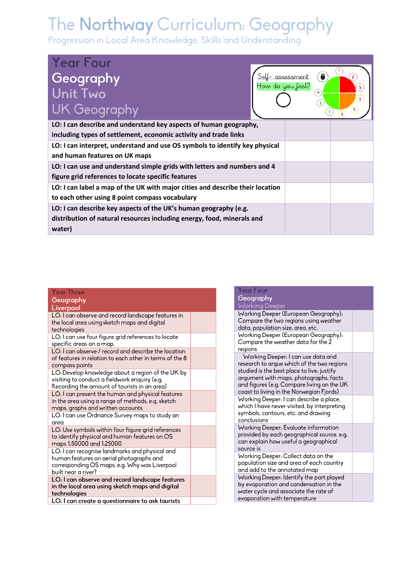# The Northway Curriculum: Geography<br>Progression in Local Area Knowledge, Skills and Understanding

| <b>Year Four</b><br>Geography<br><b>Unit Two</b><br><b>UK Geography</b>       | How do you feel? | $\ddot{\bm{6}}$<br><u>assessment</u><br>$\mathfrak{g}$<br>s<br>$\tau$ | 3<br>4<br>$5^{\circ}$<br>6 |
|-------------------------------------------------------------------------------|------------------|-----------------------------------------------------------------------|----------------------------|
| LO: I can describe and understand key aspects of human geography,             |                  |                                                                       |                            |
| including types of settlement, economic activity and trade links              |                  |                                                                       |                            |
| LO: I can interpret, understand and use OS symbols to identify key physical   |                  |                                                                       |                            |
| and human features on UK maps                                                 |                  |                                                                       |                            |
| LO: I can use and understand simple grids with letters and numbers and 4      |                  |                                                                       |                            |
| figure grid references to locate specific features                            |                  |                                                                       |                            |
| LO: I can label a map of the UK with major cities and describe their location |                  |                                                                       |                            |
| to each other using 8 point compass vocabulary                                |                  |                                                                       |                            |
| LO: I can describe key aspects of the UK's human geography (e.g.              |                  |                                                                       |                            |
| distribution of natural resources including energy, food, minerals and        |                  |                                                                       |                            |
| water)                                                                        |                  |                                                                       |                            |

## **Year Three** Geography

|           | _________ |  |
|-----------|-----------|--|
|           |           |  |
| Liverpool |           |  |
|           |           |  |
|           |           |  |

| the local area using sketch maps and digital<br>technologies                                                                                                       |  |
|--------------------------------------------------------------------------------------------------------------------------------------------------------------------|--|
| LO: I can use four figure grid references to locate<br>specific areas on a map.                                                                                    |  |
| LO: I can observe / record and describe the location<br>of features in relation to each other in terms of the 8<br>compass points                                  |  |
| LO: Develop knowledge about a region of the UK by<br>visiting to conduct a fieldwork enquiry (e.g.<br>Recording the amount of tourists in an area)                 |  |
| LO: I can present the human and physical features<br>in the area using a range of methods, e.g. sketch<br>maps, graphs and written accounts                        |  |
| LO: I can use Ordnance Survey maps to study an<br>area                                                                                                             |  |
| LO: Use symbols within four figure grid references<br>to identify physical and human features on OS<br>maps 1:50000 and 1:25000                                    |  |
| LO: I can recognise landmarks and physical and<br>human features on aerial photographs and<br>corresponding OS maps, e.g. Why was Liverpool<br>built near a river? |  |
| LO: I can observe and record landscape features<br>in the local area using sketch maps and digital<br>technologies                                                 |  |
| LO: I can create a questionnaire to ask tourists                                                                                                                   |  |

| Geography                                                                                                                                                                                                                                                          |  |
|--------------------------------------------------------------------------------------------------------------------------------------------------------------------------------------------------------------------------------------------------------------------|--|
| <b>Working Deeper</b>                                                                                                                                                                                                                                              |  |
| Working Deeper (European Geography):<br>Compare the two regions using weather<br>data, population size, area, etc.                                                                                                                                                 |  |
| Working Deeper (European Geography):<br>Compare the weather data for the 2<br>regions                                                                                                                                                                              |  |
| Working Deeper: I can use data and<br>research to argue which of the two regions<br>studied is the best place to live; justify<br>argument with maps, photographs, facts<br>and figures (e.g. Compare living on the UK<br>coast to living in the Norwegian Fjords) |  |
| Working Deeper: I can describe a place,<br>which I have never visited, by interpreting<br>symbols, contours, etc. and drawing<br>conclusions                                                                                                                       |  |
| Working Deeper: Evaluate information<br>provided by each geographical source, e.g.<br>can explain how useful a geographical<br>source is                                                                                                                           |  |
| Working Deeper: Collect data on the<br>population size and area of each country<br>and add to the annotated map                                                                                                                                                    |  |
| Working Deeper: Identify the part played<br>by evaporation and condensation in the<br>water cycle and associate the rate of<br>evaporation with temperature                                                                                                        |  |

 $V_{\text{max}}$  Eq.  $V$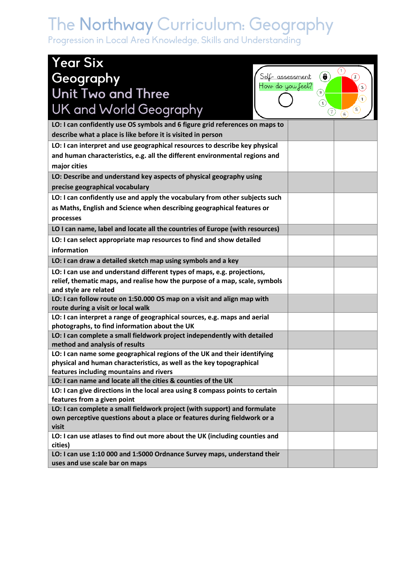# The Northway Curriculum: Geography<br>Progression in Local Area Knowledge, Skills and Understanding

| <b>Year Six</b>                                                                                                            |                                                |                   |
|----------------------------------------------------------------------------------------------------------------------------|------------------------------------------------|-------------------|
| Geography<br>Self- assessment<br>How do you feel?                                                                          | $\bullet$                                      | $\mathbf{1}$      |
| Unit Two and Three                                                                                                         | $\boxed{9}$                                    | $\mathbf{3}$<br>Ŧ |
| UK and World Geography                                                                                                     | $\left( \mathbf{s}\right)$<br>$\left(T\right)$ | $\sqrt{2}$        |
| LO: I can confidently use OS symbols and 6 figure grid references on maps to                                               |                                                |                   |
| describe what a place is like before it is visited in person                                                               |                                                |                   |
| LO: I can interpret and use geographical resources to describe key physical                                                |                                                |                   |
| and human characteristics, e.g. all the different environmental regions and                                                |                                                |                   |
| major cities                                                                                                               |                                                |                   |
| LO: Describe and understand key aspects of physical geography using                                                        |                                                |                   |
| precise geographical vocabulary                                                                                            |                                                |                   |
| LO: I can confidently use and apply the vocabulary from other subjects such                                                |                                                |                   |
| as Maths, English and Science when describing geographical features or                                                     |                                                |                   |
| processes                                                                                                                  |                                                |                   |
| LO I can name, label and locate all the countries of Europe (with resources)                                               |                                                |                   |
| LO: I can select appropriate map resources to find and show detailed                                                       |                                                |                   |
| information                                                                                                                |                                                |                   |
| LO: I can draw a detailed sketch map using symbols and a key                                                               |                                                |                   |
| LO: I can use and understand different types of maps, e.g. projections,                                                    |                                                |                   |
| relief, thematic maps, and realise how the purpose of a map, scale, symbols                                                |                                                |                   |
| and style are related                                                                                                      |                                                |                   |
| LO: I can follow route on 1:50.000 OS map on a visit and align map with                                                    |                                                |                   |
| route during a visit or local walk                                                                                         |                                                |                   |
| LO: I can interpret a range of geographical sources, e.g. maps and aerial<br>photographs, to find information about the UK |                                                |                   |
| LO: I can complete a small fieldwork project independently with detailed                                                   |                                                |                   |
| method and analysis of results                                                                                             |                                                |                   |
| LO: I can name some geographical regions of the UK and their identifying                                                   |                                                |                   |
| physical and human characteristics, as well as the key topographical                                                       |                                                |                   |
| features including mountains and rivers                                                                                    |                                                |                   |
| LO: I can name and locate all the cities & counties of the UK                                                              |                                                |                   |
| LO: I can give directions in the local area using 8 compass points to certain<br>features from a given point               |                                                |                   |
| LO: I can complete a small fieldwork project (with support) and formulate                                                  |                                                |                   |
| own perceptive questions about a place or features during fieldwork or a                                                   |                                                |                   |
| visit                                                                                                                      |                                                |                   |
| LO: I can use atlases to find out more about the UK (including counties and                                                |                                                |                   |
| cities)                                                                                                                    |                                                |                   |
| LO: I can use 1:10 000 and 1:5000 Ordnance Survey maps, understand their                                                   |                                                |                   |
| uses and use scale bar on maps                                                                                             |                                                |                   |